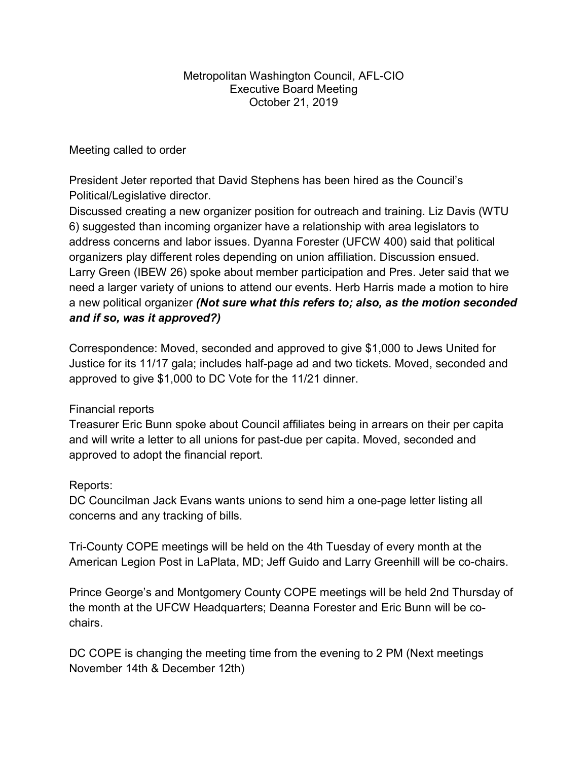## Metropolitan Washington Council, AFL-CIO Executive Board Meeting October 21, 2019

## Meeting called to order

President Jeter reported that David Stephens has been hired as the Council's Political/Legislative director.

Discussed creating a new organizer position for outreach and training. Liz Davis (WTU 6) suggested than incoming organizer have a relationship with area legislators to address concerns and labor issues. Dyanna Forester (UFCW 400) said that political organizers play different roles depending on union affiliation. Discussion ensued. Larry Green (IBEW 26) spoke about member participation and Pres. Jeter said that we need a larger variety of unions to attend our events. Herb Harris made a motion to hire a new political organizer (Not sure what this refers to; also, as the motion seconded and if so, was it approved?)

Correspondence: Moved, seconded and approved to give \$1,000 to Jews United for Justice for its 11/17 gala; includes half-page ad and two tickets. Moved, seconded and approved to give \$1,000 to DC Vote for the 11/21 dinner.

## Financial reports

Treasurer Eric Bunn spoke about Council affiliates being in arrears on their per capita and will write a letter to all unions for past-due per capita. Moved, seconded and approved to adopt the financial report.

## Reports:

DC Councilman Jack Evans wants unions to send him a one-page letter listing all concerns and any tracking of bills.

Tri-County COPE meetings will be held on the 4th Tuesday of every month at the American Legion Post in LaPlata, MD; Jeff Guido and Larry Greenhill will be co-chairs.

Prince George's and Montgomery County COPE meetings will be held 2nd Thursday of the month at the UFCW Headquarters; Deanna Forester and Eric Bunn will be cochairs.

DC COPE is changing the meeting time from the evening to 2 PM (Next meetings November 14th & December 12th)